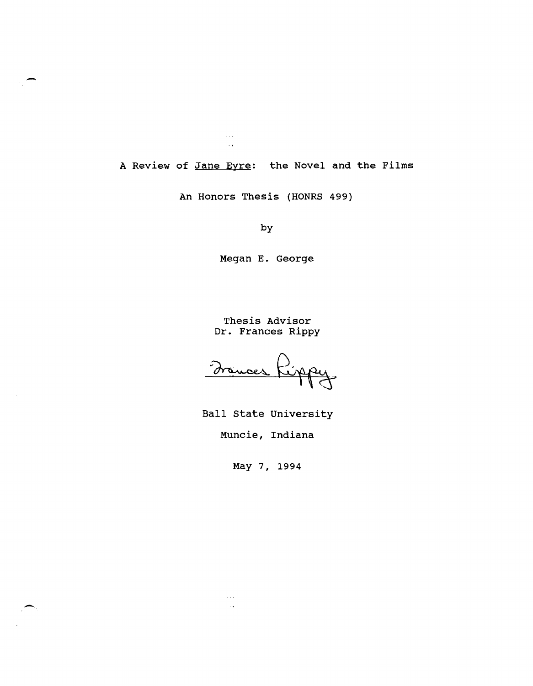A Review of Jane Eyre: the Novel and the Films

 $\beta$  and  $\sim$  .

An Honors Thesis (HONRS 499)

by

Megan E. George

Thesis Advisor Dr. Frances Rippy

Ball state University

Muncie, Indiana

May 7, 1994

 $\sim 100$ 

-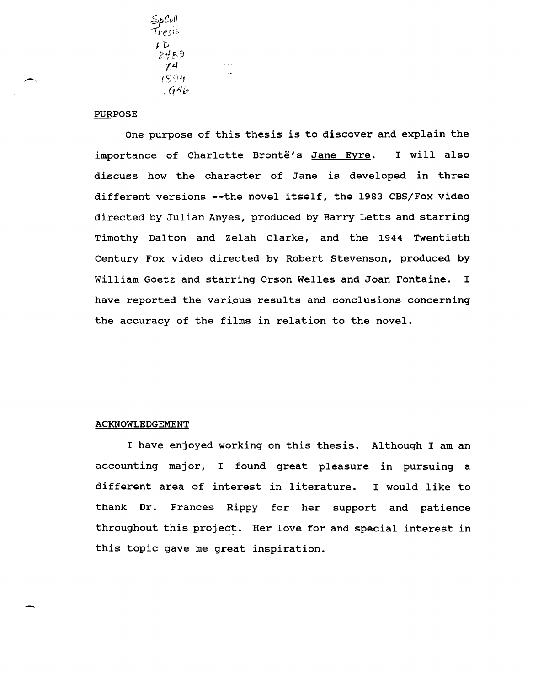$5p$ Coll<br>Thesis  $\mathcal{L}$ 2489 ,14 1994 .61&

## PURPOSE

One purpose of this thesis is to discover and explain the importance of Charlotte Brontë's Jane Eyre. I will also discuss how the character of Jane is developed in three different versions --the novel itself, the 1983 CBS/Fox video directed by Julian Anyes, produced by Barry Letts and starring Timothy Dalton and Zelah Clarke, and the 1944 Twentieth century Fox video directed by Robert Stevenson, produced by William Goetz and starring Orson Welles and Joan Fontaine. I have reported the various results and conclusions concerning the accuracy of the films in relation to the novel.

## ACKNOWLEDGEMENT

-

I have enjoyed working on this thesis. Although I am an accounting major, I found great pleasure in pursuing a different area of interest in literature. I would like to thank Dr. Frances Rippy for her support and patience throughout this project. Her love for and special interest in this topic gave me great inspiration.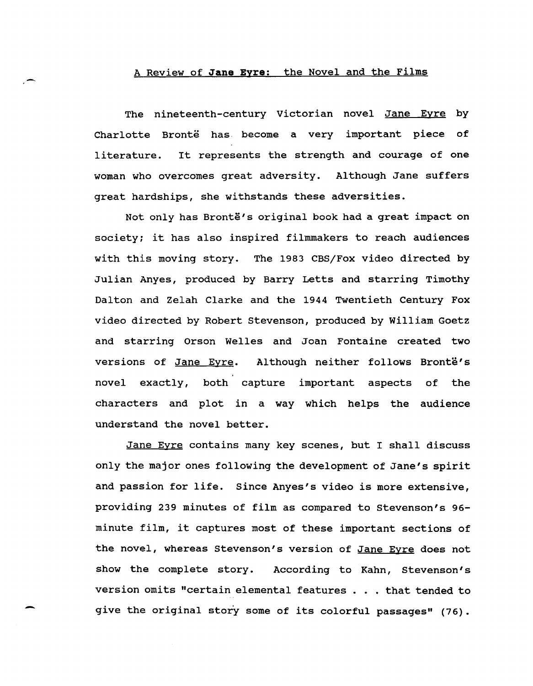## A Review of **Jane Eyre:** the Novel and the Films

-

-

The nineteenth-century Victorian novel <u>Jane Eyre</u> by Charlotte Brontë has become a very important piece of literature. It represents the strength and courage of one woman who overcomes great adversity. Although Jane suffers great hardships, she withstands these adversities.

Not only has Brontë's original book had a great impact on society; it has also inspired filmmakers to reach audiences with this moving story. The 1983 CBS/Fox video directed by Julian Anyes, produced by Barry Letts and starring Timothy Dalton and Zelah Clarke and the 1944 Twentieth Century Fox video directed by Robert Stevenson, produced by William Goetz and starring Orson Welles and Joan Fontaine created two versions of Jane Eyre. Although neither follows Brontë's novel exactly, both capture important aspects of the characters and plot in a way which helps the audience understand the novel better.

Jane Eyre contains many key scenes, but I shall discuss only the major ones following the development of Jane's spirit and passion for life. Since Anyes's video is more extensive, providing 239 minutes of film as compared to Stevenson's 96 minute film, it captures most of these important sections of the novel, whereas Stevenson's version of Jane Eyre does not show the complete story. According to Kahn, Stevenson's version omits "certain elemental features . . . that tended to give the original story some of its colorful passages" (76).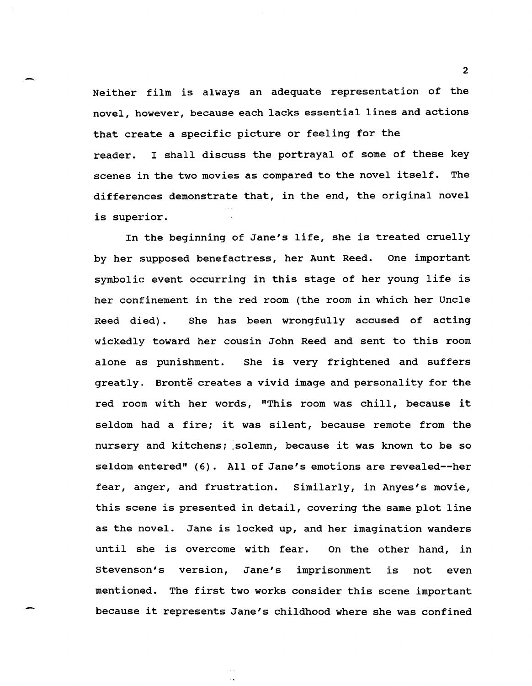- <sup>2</sup> Neither film is always an adequate representation of the novel, however, because each lacks essential lines and actions that create a specific picture or feeling for the reader. I shall discuss the portrayal of some of these key scenes in the two movies as compared to the novel itself. The differences demonstrate that, in the end, the original novel is superior.

> In the beginning of Jane's life, she is treated cruelly by her supposed benefactress, her Aunt Reed. One important symbolic event occurring in this stage of her young life is her confinement in the red room (the room in which her Uncle Reed died). She has been wrongfully accused of acting wickedly toward her cousin John Reed and sent to this room alone as punishment. She is very frightened and suffers greatly. Bronte creates a vivid image and personality for the red room with her words, "This room was chill, because it seldom had a fire; it was silent, because remote from the nursery and kitchens; solemn, because it was known to be so seldom entered" (6). All of Jane's emotions are revealed--her fear, anger, and frustration. Similarly, in Anyes's movie, this scene is presented in detail, covering the same plot line as the novel. Jane is locked up, and her imagination wanders until she is overcome with fear. On the other hand, in stevenson's version, Jane's imprisonment is not even mentioned. The first two works consider this scene important because it represents Jane's childhood where she was confined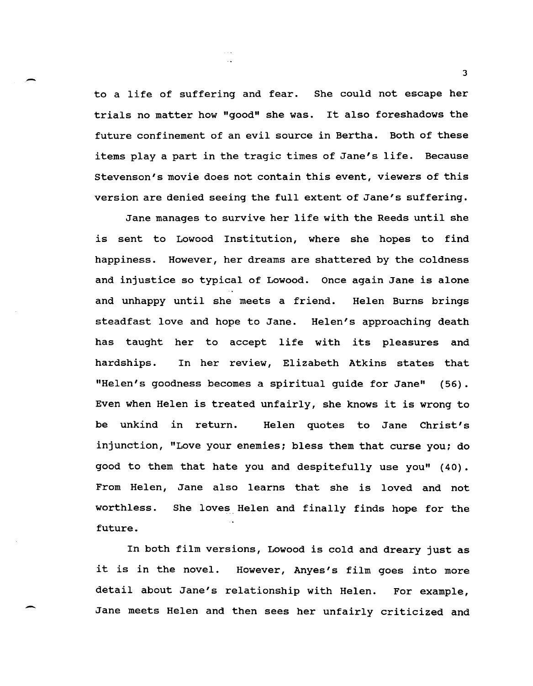to a life of suffering and fear. She could not escape her trials no matter how "good" she was. It also foreshadows the future confinement of an evil source in Bertha. Both of these items playa part in the tragic times of Jane's life. Because Stevenson's movie does not contain this event, viewers of this version are denied seeing the full extent of Jane's suffering.

-

-

Jane manages to survive her life with the Reeds until she is sent to Lowood Institution, where she hopes to find happiness. However, her dreams are shattered by the coldness and injustice so typical of Lowood. Once again Jane is alone and unhappy until she meets a friend. Helen Burns brings steadfast love and hope to Jane. Helen's approaching death has taught her to accept life with its pleasures and hardships. In her review, Elizabeth Atkins states that "Helen's goodness becomes a spiritual guide for Jane" (56). Even when Helen is treated unfairly, she knows it is wrong to be unkind in return. Helen quotes to Jane Christ's injunction, "Love your enemies; bless them that curse you; do good to them that hate you and despitefully use you" (40). From Helen, Jane also learns that she is loved and not worthless. She loves Helen and finally finds hope for the future.

In both film versions, Lowood is cold and dreary just as it is in the novel. However, Anyes's film goes into more detail about Jane's relationship with Helen. For example, Jane meets Helen and then sees her unfairly criticized and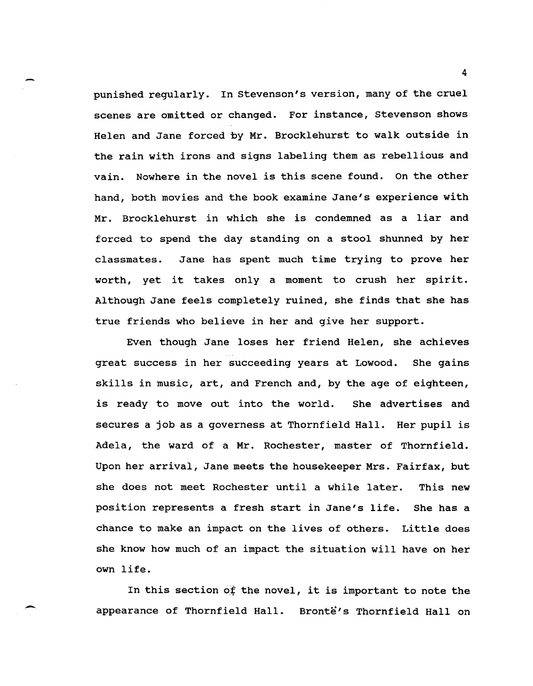punished regularly. In Stevenson's version, many of the cruel scenes are omitted or changed. For instance, stevenson shows Helen and Jane forced by Mr. Brocklehurst to walk outside in the rain with irons and signs labeling them as rebellious and vain. Nowhere in the novel is this scene found. On the other hand, both movies and the book examine Jane's experience with Mr. Brocklehurst in which she is condemned as a I iar and forced to spend the day standing on a stool shunned by her classmates. Jane has spent much time trying to prove her worth, yet it takes only a moment to crush her spirit. Although Jane feels completely ruined, she finds that she has true friends who believe in her and give her support.

Even though Jane loses her friend Helen, she achieves great success in her succeeding years at Lowood. She gains skills in music, art, and French and, by the age of eighteen, is ready to move out into the world. She advertises and secures a job as a governess at Thornfield Hall. Her pupil is Adela, the ward of a Mr. Rochester, master of Thornfield. Upon her arrival, Jane meets the housekeeper Mrs. Fairfax, but she does not meet Rochester until a while later. This new position represents a fresh start in Jane's life. She has a chance to make an impact on the lives of others. Little does she know how much of an impact the situation will have on her own life.

In this section of the novel, it is important to note the appearance of Thornfield Hall. Bronte's Thornfield Hall on

-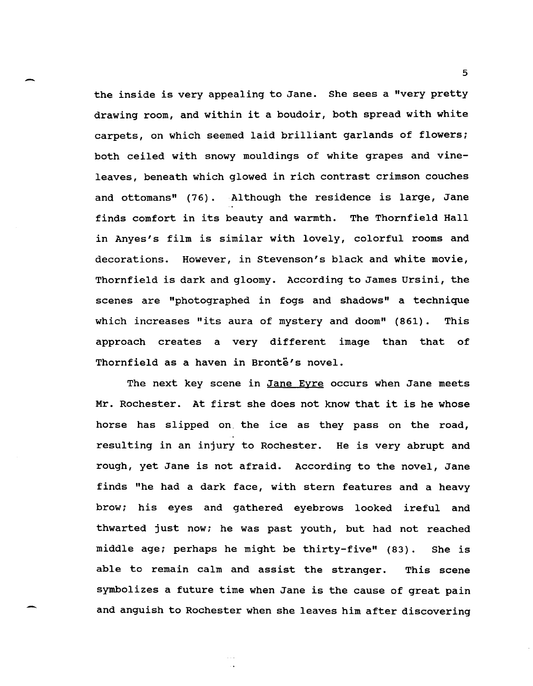the inside is very appealing to Jane. She sees a "very pretty drawing room, and within it a boudoir, both spread with white carpets, on which seemed laid brilliant garlands of flowers; both ceiled with snowy mouldings of white grapes and vineleaves, beneath which glowed in rich contrast crimson couches and ottomans" (76). Although the residence is large, Jane finds comfort in its beauty and warmth. The Thornfield Hall in Anyes's film is similar with lovely, colorful rooms and decorations. However, in Stevenson's black and white movie, Thornfield is dark and gloomy. According to James ursini, the scenes are "photographed in fogs and shadows" a technique which increases "its aura of mystery and doom" (861). This approach creates a very different image than that of Thornfield as a haven in Brontë's novel.

The next key scene in Jane Eyre occurs when Jane meets Mr. Rochester. At first she does not know that it is he whose horse has slipped on the ice as they pass on the road, resulting in an injury to Rochester. He is very abrupt and rough, yet Jane is not afraid. According to the novel, Jane finds "he had a dark face, with stern features and a heavy brow; his eyes and gathered eyebrows looked ireful and thwarted just now; he was past youth, but had not reached middle age; perhaps he might be thirty-five" (83). She is able to remain calm and assist the stranger. This scene symbolizes a future time when Jane is the cause of great pain and anguish to Rochester when she leaves him after discovering

-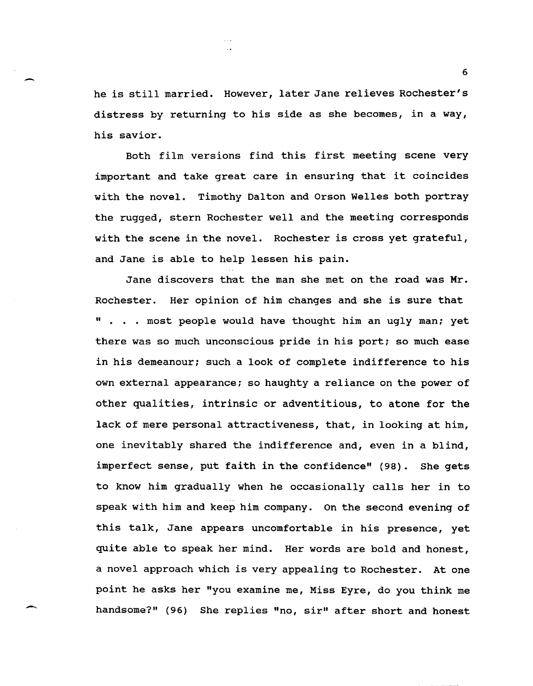he is still married. However, later Jane relieves Rochester's distress by returning to his side as she becomes, in a way, his savior.

-

---

Both film versions find this first meeting scene very important and take great care in ensuring that it coincides with the novel. Timothy Dalton and Orson Welles both portray the rugged, stern Rochester well and the meeting corresponds with the scene in the novel. Rochester is cross yet grateful, and Jane is able to help lessen his pain.

Jane discovers that the man she met on the road was Mr. Rochester. Her opinion of him changes and she is sure that " . . . most people would have thought him an ugly man; yet there was so much unconscious pride in his port; so much ease in his demeanour; such a look of complete indifference to his own external appearance; so haughty a reliance on the power of other qualities, intrinsic or adventitious, to atone for the lack of mere personal attractiveness, that, in looking at him, one inevitably shared the indifference and, even in a blind, imperfect sense, put faith in the confidence" (98). She gets to know him gradually when he occasionally calls her in to speak with him and keep him company. On the second evening of this talk, Jane appears uncomfortable in his presence, yet quite able to speak her mind. Her words are bold and honest, a novel approach which is very appealing to Rochester. At one point he asks her "you examine me, Miss Eyre, do you think me handsome?" (96) She replies "no, sir" after short and honest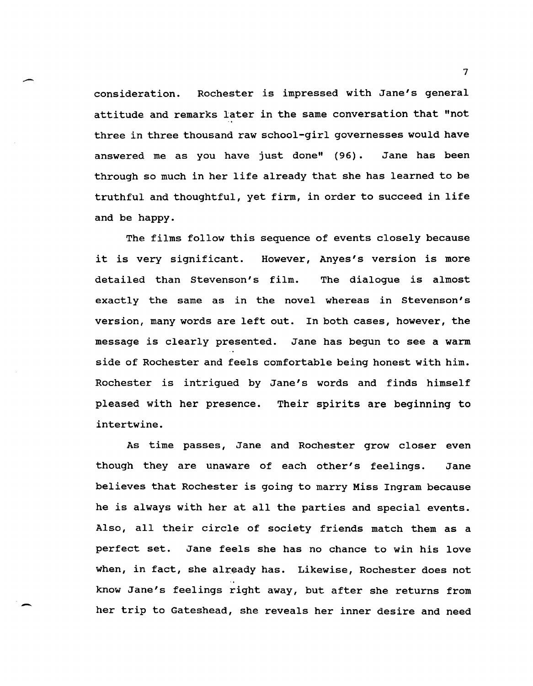consideration. Rochester is impressed with Jane's general attitude and remarks later in the same conversation that "not three in three thousand raw school-girl governesses would have answered me as you have just done" (96). Jane has been through so much in her life already that she has learned to be truthful and thoughtful, yet firm, in order to succeed in life and be happy.

-

-

The films follow this sequence of events closely because it is very significant. However, Anyes's version is more detailed than stevenson's film. The dialogue is almost exactly the same as in the novel whereas in stevenson's version, many words are left out. In both cases, however, the message is clearly presented. Jane has begun to see a warm side of Rochester and feels comfortable being honest with him. Rochester is intrigued by Jane's words and finds himself pleased with her presence. Their spirits are beginning to intertwine.

As time passes, Jane and Rochester grow closer even though they are unaware of each other's feelings. Jane believes that Rochester is going to marry Miss Ingram because he is always with her at all the parties and special events. Also, all their circle of society friends match them as a perfect set. Jane feels she has no chance to win his love when, in fact, she already has. Likewise, Rochester does not know Jane's feelings right away, but after she returns from her trip to Gateshead, she reveals her inner desire and need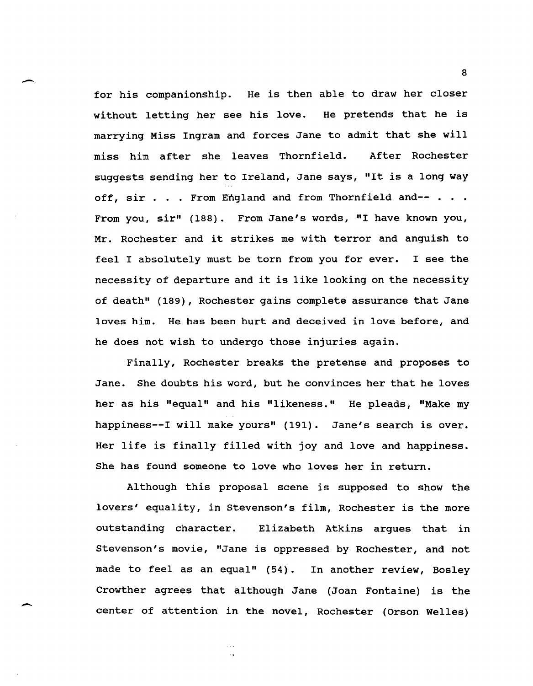for his companionship. He is then able to draw her closer without letting her see his love. He pretends that he is marrying Miss Ingram and forces Jane to admit that she will miss him after she leaves Thornfield. After Rochester suggests sending her to Ireland, Jane says, "It is a long way off, sir . . . From England and from Thornfield and-- . . . From you, sir" (188). From Jane's words, "I have known you, Mr. Rochester and it strikes me with terror and anguish to feel I absolutely must be torn from you for ever. I see the necessity of departure and it is like looking on the necessity of death" (189), Rochester gains complete assurance that Jane loves him. He has been hurt and deceived in love before, and he does not wish to undergo those injuries again.

 $\overline{\phantom{0}}$ 

-

Finally, Rochester breaks the pretense and proposes to Jane. She doubts his word, but he convinces her that he loves her as his "equal" and his "likeness." He pleads, "Make my happiness--I will make yours" (191). Jane's search is over. Her life is finally filled with joy and love and happiness. She has found someone to love who loves her in return.

Although this proposal scene is supposed to show the lovers' equality, in Stevenson's film, Rochester is the more outstanding character. Elizabeth Atkins argues that in stevenson's movie, "Jane is oppressed by Rochester, and not made to feel as an equal" (54). In another review, Bosley Crowther agrees that although Jane (Joan Fontaine) is the center of attention in the novel, Rochester (Orson Welles)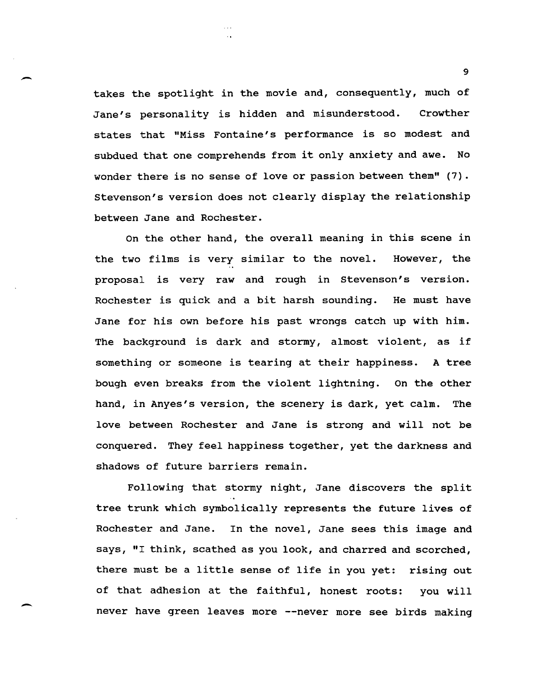takes the spotlight in the movie and, consequently, much of Jane's personality is hidden and misunderstood. Crowther states that "Miss Fontaine's performance is so modest and subdued that one comprehends from it only anxiety and awe. No wonder there is no sense of love or passion between them" (7). stevenson's version does not clearly display the relationship between Jane and Rochester.

-.

-

On the other hand, the overall meaning in this scene in the two films is very similar to the novel. However, the proposal is very raw and rough in stevenson's version. Rochester is quick and a bit harsh sounding. He must have Jane for his own before his past wrongs catch up with him. The background is dark and stormy, almost violent, as if something or someone is tearing at their happiness. A tree bough even breaks from the violent lightning. On the other hand, in Anyes's version, the scenery is dark, yet calm. The love between Rochester and Jane is strong and will not be conquered. They feel happiness together, yet the darkness and shadows of future barriers remain.

Following that stormy night, Jane discovers the split tree trunk which symbolically represents the future lives of Rochester and Jane. In the novel, Jane sees this image and says, "I think, scathed as you look, and charred and scorched, there must be a little sense of life in you yet: rising out of that adhesion at the faithful, honest roots: you will never have green leaves more --never more see birds making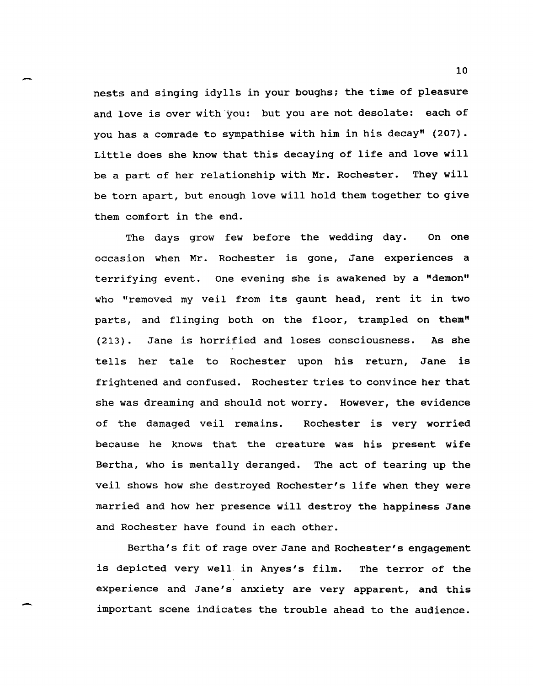nests and singing idylls in your boughs; the time of pleasure and love is over with you: but you are not desolate: each of you has a comrade to sympathise with him in his decay" (207). Little does she know that this decaying of life and love will be a part of her relationship with Mr. Rochester. They will be torn apart, but enough love will hold them together to give them comfort in the end.

-

-

The days grow few before the wedding day. On one occasion when Mr. Rochester is gone, Jane experiences a terrifying event. One evening she is awakened by a "demon" who "removed my veil from its gaunt head, rent it in two parts, and flinging both on the floor, trampled on them" (213). Jane is horrified and loses consciousness. As she tells her tale to Rochester upon his return, Jane is frightened and confused. Rochester tries to convince her that she was dreaming and should not worry. However, the evidence of the damaged veil remains. Rochester is very worried because he knows that the creature was his present wife Bertha, who is mentally deranged. The act of tearing up the veil shows how she destroyed Rochester's life when they were married and how her presence will destroy the happiness Jane and Rochester have found in each other.

Bertha's fit of rage over Jane and Rochester's engagement is depicted very well in Anyes's film. The terror of the experience and Jane's anxiety are very apparent, and this important scene indicates the trouble ahead to the audience.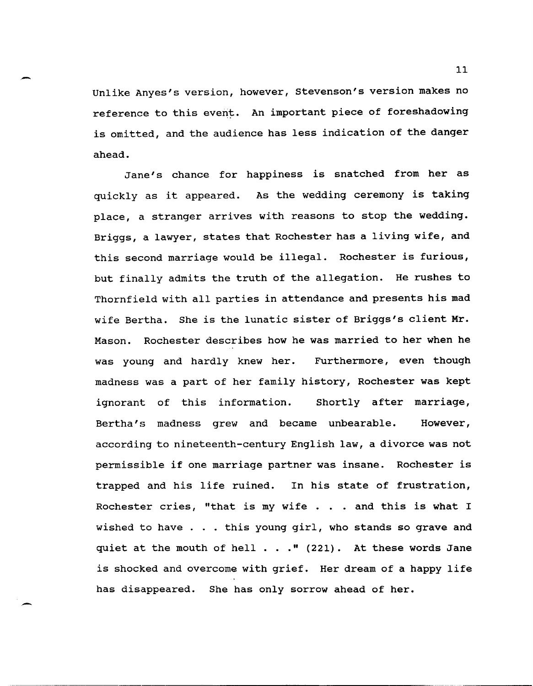Unlike Anyes's version, however, stevenson's version makes no reference to this event. An important piece of foreshadowing is omitted, and the audience has less indication of the danger ahead.

Jane's chance for happiness is snatched from her as quickly as it appeared. As the wedding ceremony is taking place, a stranger arrives with reasons to stop the wedding. Briggs, a lawyer, states that Rochester has a living wife, and this second marriage would be illegal. Rochester is furious, but finally admits the truth of the allegation. He rushes to Thornfield with all parties in attendance and presents his mad wife Bertha. She is the lunatic sister of Briggs's client Mr. Mason. Rochester describes how he was married to her when he was young and hardly knew her. Furthermore, even though madness was a part of her family history, Rochester was kept ignorant of this information. Shortly after marriage, Bertha's madness grew and became unbearable. However, according to nineteenth-century English law, a divorce was not permissible if one marriage partner was insane. Rochester is trapped and his life ruined. In his state of frustration, Rochester cries, "that is my wife . . and this is what I wished to have . . . this young girl, who stands so grave and quiet at the mouth of hell  $\ldots$  " (221). At these words Jane is shocked and overcome with grief. Her dream of a happy life has disappeared. She has only sorrow ahead of her.

-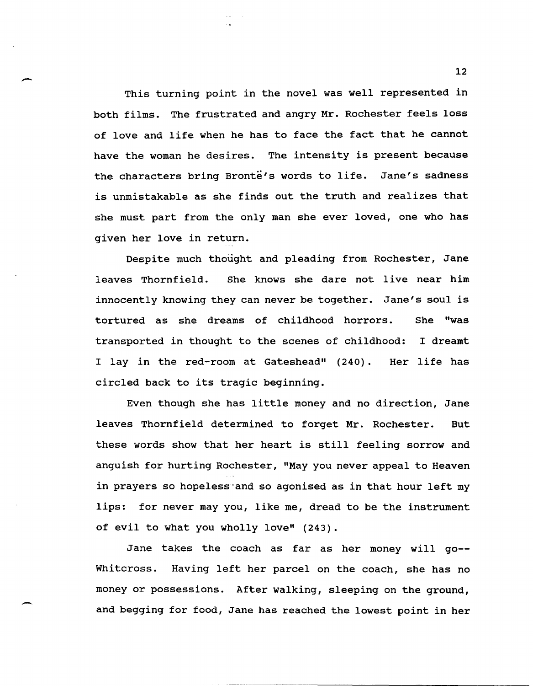This turning point in the novel was well represented in both films. The frustrated and angry Mr. Rochester feels loss of love and life when he has to face the fact that he cannot have the woman he desires. The intensity is present because the characters bring Bronte's words to life. Jane's sadness is unmistakable as she finds out the truth and realizes that she must part from the only man she ever loved, one who has given her love in return.

--

-

Despite much thought and pleading from Rochester, Jane leaves Thornfield. She knows she dare not live near him innocently knowing they can never be together. Jane's soul is tortured as she dreams of childhood horrors. She "was transported in thought to the scenes of childhood: I dreamt I lay in the red-room at Gateshead" (240). circled back to its tragic beginning. Her life has

Even though she has little money and no direction, Jane leaves Thornfield determined to forget Mr. Rochester. But these words show that her heart is still feeling sorrow and anguish for hurting Rochester, "May you never appeal to Heaven in prayers so hopeless and so agonised as in that hour left my lips: for never may you, like me, dread to be the instrument of evil to what you wholly love" (243).

Jane takes the coach as far as her money will go-- Whitcross. Having left her parcel on the coach, she has no money or possessions. After walking, sleeping on the ground, and begging for food, Jane has reached the lowest point in her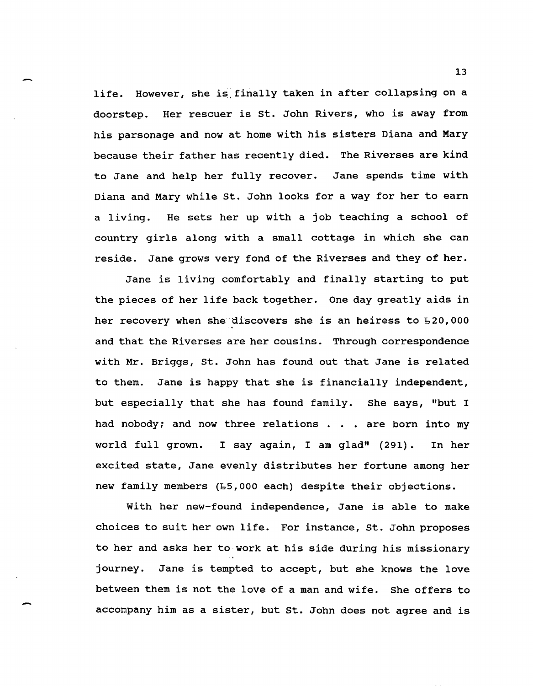life. However, she is finally taken in after collapsing on a doorstep. Her rescuer is st. John Rivers, who is away from his parsonage and now at home with his sisters Diana and Mary because their father has recently died. The Riverses are kind to Jane and help her fully recover. Jane spends time with Diana and Mary while st. John looks for a way for her to earn a living. He sets her up with a job teaching a school of country girls along with a small cottage in which she can reside. Jane grows very fond of the Riverses and they of her.

Jane is living comfortably and finally starting to put the pieces of her life back together. One day greatly aids in her recovery when she discovers she is an heiress to  $E20,000$ and that the Riverses are her cousins. Through correspondence with Mr. Briggs, st. John has found out that Jane is related to them. Jane is happy that she is financially independent, but especially that she has found family. She says, "but I had nobody; and now three relations . . . are born into my world full grown. I say again, I am glad" (291). In her excited state, Jane evenly distributes her fortune among her new family members (L5,000 each) despite their objections.

with her new-found independence, Jane is able to make choices to suit her own life. For instance, st. John proposes to her and asks her to·work at his side during his missionary journey. Jane is tempted to accept, but she knows the love between them is not the love of a man and wife. She offers to accompany him as a sister, but st. John does not agree and is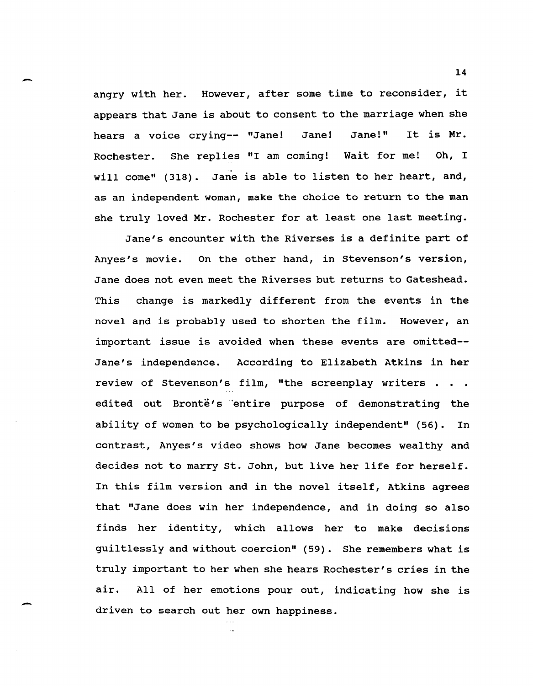angry with her. However, after some time to reconsider, it appears that Jane is about to consent to the marriage when she hears a voice crying-- "Jane! Jane! Jane!" It is Mr. Rochester. She replies "I am coming! Wait for me! Oh, I will come" (318). Jane is able to listen to her heart, and, as an independent woman, make the choice to return to the man she truly loved Mr. Rochester for at least one last meeting.

.-

-

Jane's encounter with the Riverses is a definite part of Anyes's movie. On the other hand, in Stevenson's version, Jane does not even meet the Riverses but returns to Gateshead. This change is markedly different from the events in the novel and is probably used to shorten the film. However, an important issue is avoided when these events are omitted-- Jane's independence. According to Elizabeth Atkins in her review of Stevenson's film, "the screenplay writers . . . edited out Bronte's entire purpose of demonstrating the ability of women to be psychologically independent" (56). In contrast, Anyes's video shows how Jane becomes wealthy and decides not to marry st. John, but live her life for herself. In this film version and in the novel itself, Atkins agrees that "Jane does win her independence, and in doing so also finds her identity, which allows her to make decisions guiltlessly and without coercion" (59). She remembers what is truly important to her when she hears Rochester's cries in the air. All of her emotions pour out, indicating how she is driven to search out her own happiness.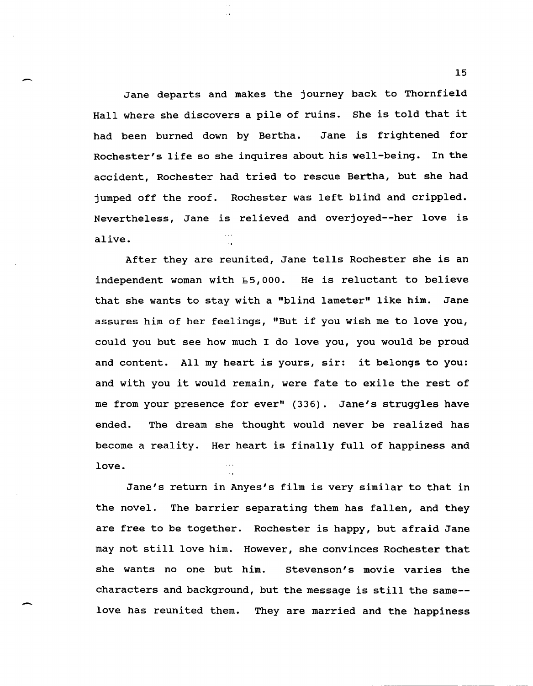Jane departs and makes the journey back to Thornfield Hall where she discovers a pile of ruins. She is told that it had been burned down by Bertha. Jane is frightened for Rochester's life so she inquires about his well-being. In the accident, Rochester had tried to rescue Bertha, but she had jumped off the roof. Rochester was left blind and crippled. Nevertheless, Jane is relieved and overjoyed--her love is alive.

 $\overline{\phantom{0}}$ 

 $\overline{\phantom{0}}$ 

After they are reunited, Jane tells Rochester she is an independent woman with b5,OOO. He is reluctant to believe that she wants to stay with a "blind lameter" like him. Jane assures him of her feelings, "But if you wish me to love you, could you but see how much I do love you, you would be proud and content. All my heart is yours, sir: it belongs to you: and with you it would remain, were fate to exile the rest of me from your presence for ever" (336). Jane's struggles have ended. The dream she thought would never be realized has become a reality. Her heart is finally full of happiness and love.

Jane's return in Anyes's film is very similar to that in the novel. The barrier separating them has fallen, and they are free to be together. Rochester is happy, but afraid Jane may not still love him. However, she convinces Rochester that she wants no one but him. stevenson's movie varies the characters and background, but the message is still the same- love has reunited them. They are married and the happiness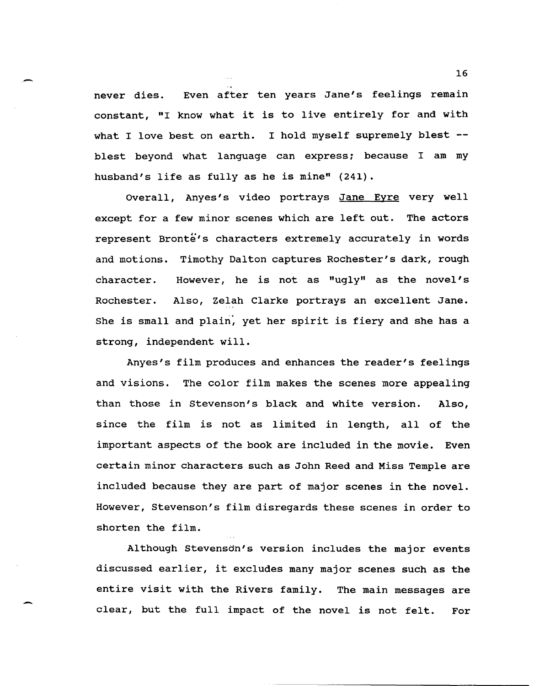never dies. Even after ten years Jane's feelings remain constant, "I know what it is to live entirely for and with what I love best on earth. I hold myself supremely blest -blest beyond what language can express; because I am my husband's life as fully as he is mine" (241).

Overall, Anyes's video portrays Jane Eyre very well except for a few minor scenes which are left out. The actors represent Bronte's characters extremely accurately in words and motions. Timothy Dalton captures Rochester's dark, rough character. Rochester. However, he is not as "ugly" as the novel's Also, Zelah Clarke portrays an excellent Jane. She is small and plain, yet her spirit is fiery and she has a strong, independent will.

Anyes's film produces and enhances the reader's feelings and visions. The color film makes the scenes more appealing than those in Stevenson's black and white version. Also, since the film is not as limited in length, all of the important aspects of the book are included in the movie. Even certain minor characters such as John Reed and Miss Temple are included because they are part of major scenes in the novel. However, Stevenson's film disregards these scenes in order to shorten the film.

Although stevensdn's version includes the major events discussed earlier, it excludes many major scenes such as the entire visit with the Rivers family. The main messages are clear, but the full impact of the novel is not felt. For

-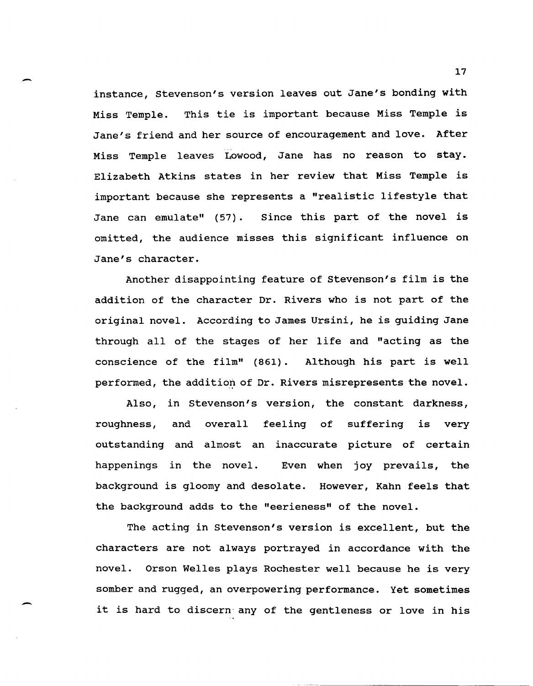- instance, stevenson's version leaves out Jane's bonding with Miss Temple. This tie is important because Miss Temple is Jane's friend and her source of encouragement and love. After Miss Temple leaves Lowood, Jane has no reason to stay. Elizabeth Atkins states in her review that Miss Temple is important because she represents a "realistic lifestyle that Jane can emulate" (57). since this part of the novel is omitted, the audience misses this significant influence on Jane's character.

Another disappointing feature of stevenson's film is the addition of the character Dr. Rivers who is not part of the original novel. According to James Ursini, he is guiding Jane through all of the stages of her life and "acting as the conscience of the film" (861). Although his part is well performed, the addition of Dr. Rivers misrepresents the novel.

Also, in stevenson's version, the constant darkness, roughness, and overall feeling of suffering is very outstanding and almost an inaccurate picture of certain happenings in the novel. Even when joy prevails, the background is gloomy and desolate. However, Kahn feels that the background adds to the "eerieness" of the novel.

The acting in stevenson's version is excellent, but the characters are not always portrayed in accordance with the novel. Orson Welles plays Rochester well because he is very somber and rugged, an overpowering performance. Yet sometimes it is hard to discern any of the gentleness or love in his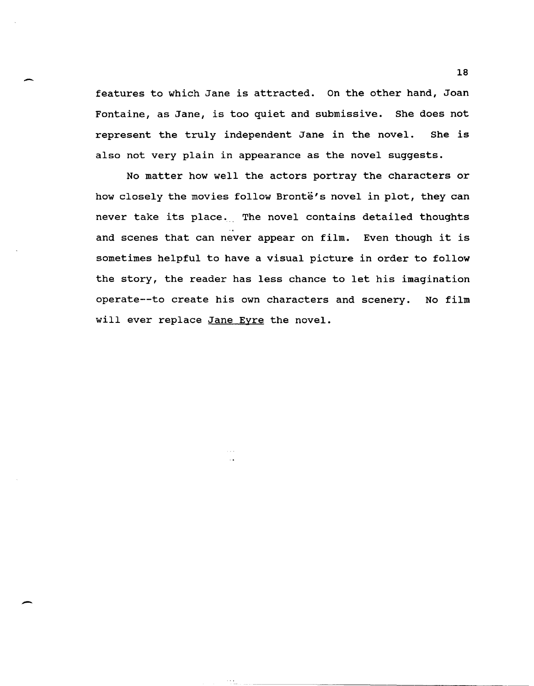features to which Jane is attracted. On the other hand, Joan Fontaine, as Jane, is too quiet and submissive. She does not represent the truly independent Jane in the novel. She is also not very plain in appearance as the novel suggests.

No matter how well the actors portray the characters or how closely the movies follow Bronte's novel in plot, they can never take its place. The novel contains detailed thoughts and scenes that can never appear on film. Even though it is sometimes helpful to have a visual picture in order to follow the story, the reader has less chance to let his imagination operate--to create his own characters and scenery. No film will ever replace Jane Eyre the novel.